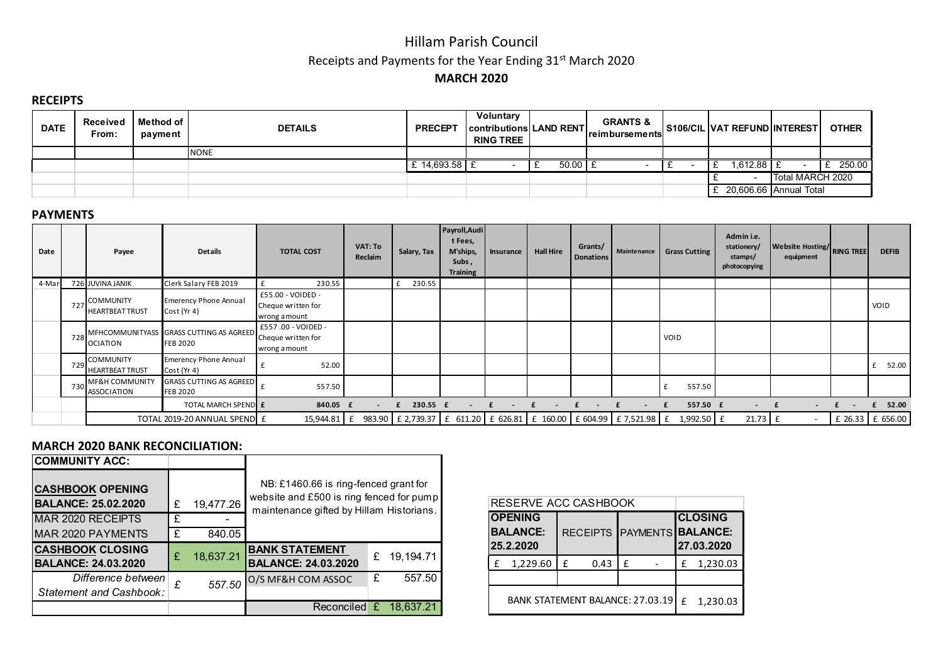## Hillam Parish Council Receipts and Payments for the Year Ending 31st March 2020 MARCH 2020

### **RECEIPTS**

| <b>DATE</b> | Received<br>From: | l Method of I<br>payment | <b>DETAILS</b> | <b>PRECEPT</b>  | <b>Voluntary</b><br><b>Contributions LAND RENT</b><br><b>RING TREE</b> |             | <b>GRANTS &amp;</b><br><b>Ireimbursements</b> | S106/CIL VAT REFUND INTEREST |                        | <b>OTHER</b> |
|-------------|-------------------|--------------------------|----------------|-----------------|------------------------------------------------------------------------|-------------|-----------------------------------------------|------------------------------|------------------------|--------------|
|             |                   |                          | <b>INONE</b>   |                 |                                                                        |             |                                               |                              |                        |              |
|             |                   |                          |                | $: 14.693.58$ £ |                                                                        | $50.00$   9 |                                               | $.612.88$ E                  |                        | 250.00       |
|             |                   |                          |                |                 |                                                                        |             |                                               |                              | Total MARCH 2020       |              |
|             |                   |                          |                |                 |                                                                        |             |                                               |                              | 20,606.66 Annual Total |              |

#### PAYMENTS

| Date  |     | Payee                                           | <b>Details</b>                                             | <b>TOTAL COST</b>                                        | <b>VAT: To</b><br>Reclaim | Salary, Tax | Payroll, Audi<br>t Fees,<br>M'ships,<br>Subs,<br><b>Training</b> | Insurance | <b>Hall Hire</b> | Grants/<br><b>Donations</b> | Maintenance | <b>Grass Cutting</b>                                                                                        | Admin i.e.<br>stationery/<br>stamps/<br>photocopying | Website Hosting/RING TREE<br>equipment | <b>DEFIB</b>     |
|-------|-----|-------------------------------------------------|------------------------------------------------------------|----------------------------------------------------------|---------------------------|-------------|------------------------------------------------------------------|-----------|------------------|-----------------------------|-------------|-------------------------------------------------------------------------------------------------------------|------------------------------------------------------|----------------------------------------|------------------|
| 4-Mar |     | 726 JUVINA JANIK                                | Clerk Salary FEB 2019                                      | 230.55                                                   |                           | 230.55<br>£ |                                                                  |           |                  |                             |             |                                                                                                             |                                                      |                                        |                  |
|       | 727 | COMMUNITY<br><b>HEARTBEAT TRUST</b>             | <b>Emerency Phone Annual</b><br>Cost (Yr 4)                | £55.00 - VOIDED -<br>Cheque written for<br>wrong amount  |                           |             |                                                                  |           |                  |                             |             |                                                                                                             |                                                      |                                        | VOID             |
|       | 728 | <b>OCIATION</b>                                 | MFHCOMMUNITYASS GRASS CUTTING AS AGREED<br><b>FEB 2020</b> | £557.00 - VOIDED -<br>Cheque written for<br>wrong amount |                           |             |                                                                  |           |                  |                             |             | VOID                                                                                                        |                                                      |                                        |                  |
|       | 729 | <b>COMMUNITY</b><br><b>HEARTBEAT TRUST</b>      | <b>Emerency Phone Annual</b><br>Cost (Yr 4)                | 52.00                                                    |                           |             |                                                                  |           |                  |                             |             |                                                                                                             |                                                      |                                        | 52.00            |
|       | 730 | <b>MF&amp;H COMMUNITY</b><br><b>ASSOCIATION</b> | <b>GRASS CUTTING AS AGREED</b><br><b>FEB 2020</b>          | 557.50                                                   |                           |             |                                                                  |           |                  |                             |             | 557.50                                                                                                      |                                                      |                                        |                  |
|       |     |                                                 | TOTAL MARCH SPEND E                                        | 840.05 £                                                 |                           | 230.55 £    |                                                                  |           |                  |                             |             | 557.50 £                                                                                                    |                                                      |                                        | £ 52.00          |
|       |     |                                                 | TOTAL 2019-20 ANNUAL SPEND E                               |                                                          |                           |             |                                                                  |           |                  |                             |             | 15,944.81   £ 983.90   £ 2,739.37   £ 611.20   £ 626.81   £ 160.00   £ 604.99   £ 7,521.98   £ 1,992.50   £ | $21.73 \text{ }$ £                                   |                                        | £ 26.33 £ 656.00 |

## MARCH 2020 BANK RECONCILIATION:

| <b>COMMUNITY ACC:</b>                                 |   |           |                                                                                                                               |   |             |  |
|-------------------------------------------------------|---|-----------|-------------------------------------------------------------------------------------------------------------------------------|---|-------------|--|
| <b>CASHBOOK OPENING</b><br><b>BALANCE: 25.02.2020</b> |   | 19,477.26 | NB: £1460.66 is ring-fenced grant for<br>website and £500 is ring fenced for pump<br>maintenance gifted by Hillam Historians. |   |             |  |
| MAR 2020 RECEIPTS                                     | £ |           |                                                                                                                               |   |             |  |
| <b>MAR 2020 PAYMENTS</b>                              | £ | 840.05    |                                                                                                                               |   |             |  |
| <b>CASHBOOK CLOSING</b><br><b>BALANCE: 24.03.2020</b> | £ | 18,637.21 | <b>BANK STATEMENT</b><br><b>BALANCE: 24.03.2020</b>                                                                           | £ | 19, 194. 71 |  |
| Difference between<br>Statement and Cashbook:         | £ | 557.50    | O/S MF&H COM ASSOC                                                                                                            | £ | 557.50      |  |
|                                                       |   |           | Reconciled                                                                                                                    | £ | 18.637.21   |  |

| RESERVE ACC CASHBOOK                           |               |                            |                              |  |  |  |  |  |  |
|------------------------------------------------|---------------|----------------------------|------------------------------|--|--|--|--|--|--|
| <b>OPENING</b><br><b>BALANCE:</b><br>25.2.2020 |               | RECEIPTS PAYMENTS BALANCE: | <b>CLOSING</b><br>27.03.2020 |  |  |  |  |  |  |
| 1,229.60                                       | 0.43<br>f     | f                          | 1,230.03<br>£                |  |  |  |  |  |  |
|                                                |               |                            |                              |  |  |  |  |  |  |
| <b>BANK STATEMENT BALANCE: 27.03.19</b>        | f<br>1,230.03 |                            |                              |  |  |  |  |  |  |